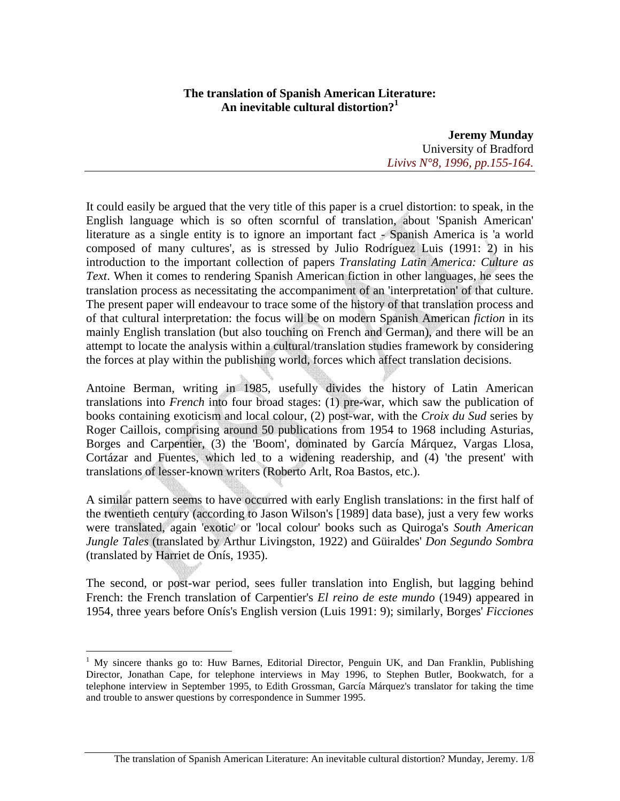## **The translation of Spanish American Literature: An inevitable cultural distortion?<sup>1</sup>**

**Jeremy Munday**  University of Bradford *Livivs N°8, 1996, pp.155-164.*

It could easily be argued that the very title of this paper is a cruel distortion: to speak, in the English language which is so often scornful of translation, about 'Spanish American' literature as a single entity is to ignore an important fact - Spanish America is 'a world composed of many cultures', as is stressed by Julio Rodríguez Luis (1991: 2) in his introduction to the important collection of papers *Translating Latin America: Culture as Text*. When it comes to rendering Spanish American fiction in other languages, he sees the translation process as necessitating the accompaniment of an 'interpretation' of that culture. The present paper will endeavour to trace some of the history of that translation process and of that cultural interpretation: the focus will be on modern Spanish American *fiction* in its mainly English translation (but also touching on French and German), and there will be an attempt to locate the analysis within a cultural/translation studies framework by considering the forces at play within the publishing world, forces which affect translation decisions.

Antoine Berman, writing in 1985, usefully divides the history of Latin American translations into *French* into four broad stages: (1) pre-war, which saw the publication of books containing exoticism and local colour, (2) post-war, with the *Croix du Sud* series by Roger Caillois, comprising around 50 publications from 1954 to 1968 including Asturias, Borges and Carpentier, (3) the 'Boom', dominated by García Márquez, Vargas Llosa, Cortázar and Fuentes, which led to a widening readership, and (4) 'the present' with translations of lesser-known writers (Roberto Arlt, Roa Bastos, etc.).

A similar pattern seems to have occurred with early English translations: in the first half of the twentieth century (according to Jason Wilson's [1989] data base), just a very few works were translated, again 'exotic' or 'local colour' books such as Quiroga's *South American Jungle Tales* (translated by Arthur Livingston, 1922) and Güiraldes' *Don Segundo Sombra* (translated by Harriet de Onís, 1935).

The second, or post-war period, sees fuller translation into English, but lagging behind French: the French translation of Carpentier's *El reino de este mundo* (1949) appeared in 1954, three years before Onís's English version (Luis 1991: 9); similarly, Borges' *Ficciones*

<u>.</u>

<sup>&</sup>lt;sup>1</sup> My sincere thanks go to: Huw Barnes, Editorial Director, Penguin UK, and Dan Franklin, Publishing Director, Jonathan Cape, for telephone interviews in May 1996, to Stephen Butler, Bookwatch, for a telephone interview in September 1995, to Edith Grossman, García Márquez's translator for taking the time and trouble to answer questions by correspondence in Summer 1995.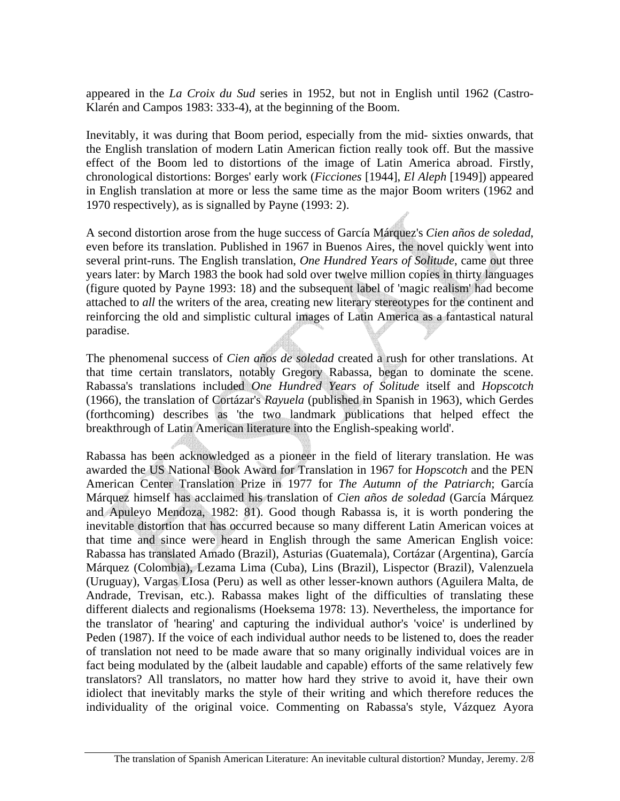appeared in the *La Croix du Sud* series in 1952, but not in English until 1962 (Castro-Klarén and Campos 1983: 333-4), at the beginning of the Boom.

Inevitably, it was during that Boom period, especially from the mid- sixties onwards, that the English translation of modern Latin American fiction really took off. But the massive effect of the Boom led to distortions of the image of Latin America abroad. Firstly, chronological distortions: Borges' early work (*Ficciones* [1944], *El Aleph* [1949]) appeared in English translation at more or less the same time as the major Boom writers (1962 and 1970 respectively), as is signalled by Payne (1993: 2).

A second distortion arose from the huge success of García Márquez's *Cien años de soledad*, even before its translation. Published in 1967 in Buenos Aires, the novel quickly went into several print-runs. The English translation, *One Hundred Years of Solitude*, came out three years later: by March 1983 the book had sold over twelve million copies in thirty languages (figure quoted by Payne 1993: 18) and the subsequent label of 'magic realism' had become attached to *all* the writers of the area, creating new literary stereotypes for the continent and reinforcing the old and simplistic cultural images of Latin America as a fantastical natural paradise.

The phenomenal success of *Cien años de soledad* created a rush for other translations. At that time certain translators, notably Gregory Rabassa, began to dominate the scene. Rabassa's translations included *One Hundred Years of Solitude* itself and *Hopscotch* (1966), the translation of Cortázar's *Rayuela* (published in Spanish in 1963), which Gerdes (forthcoming) describes as 'the two landmark publications that helped effect the breakthrough of Latin American literature into the English-speaking world'.

Rabassa has been acknowledged as a pioneer in the field of literary translation. He was awarded the US National Book Award for Translation in 1967 for *Hopscotch* and the PEN American Center Translation Prize in 1977 for *The Autumn of the Patriarch*; García Márquez himself has acclaimed his translation of *Cien años de soledad* (García Márquez and Apuleyo Mendoza, 1982: 81). Good though Rabassa is, it is worth pondering the inevitable distortion that has occurred because so many different Latin American voices at that time and since were heard in English through the same American English voice: Rabassa has translated Amado (Brazil), Asturias (Guatemala), Cortázar (Argentina), García Márquez (Colombia), Lezama Lima (Cuba), Lins (Brazil), Lispector (Brazil), Valenzuela (Uruguay), Vargas LIosa (Peru) as well as other lesser-known authors (Aguilera Malta, de Andrade, Trevisan, etc.). Rabassa makes light of the difficulties of translating these different dialects and regionalisms (Hoeksema 1978: 13). Nevertheless, the importance for the translator of 'hearing' and capturing the individual author's 'voice' is underlined by Peden (1987). If the voice of each individual author needs to be listened to, does the reader of translation not need to be made aware that so many originally individual voices are in fact being modulated by the (albeit laudable and capable) efforts of the same relatively few translators? All translators, no matter how hard they strive to avoid it, have their own idiolect that inevitably marks the style of their writing and which therefore reduces the individuality of the original voice. Commenting on Rabassa's style, Vázquez Ayora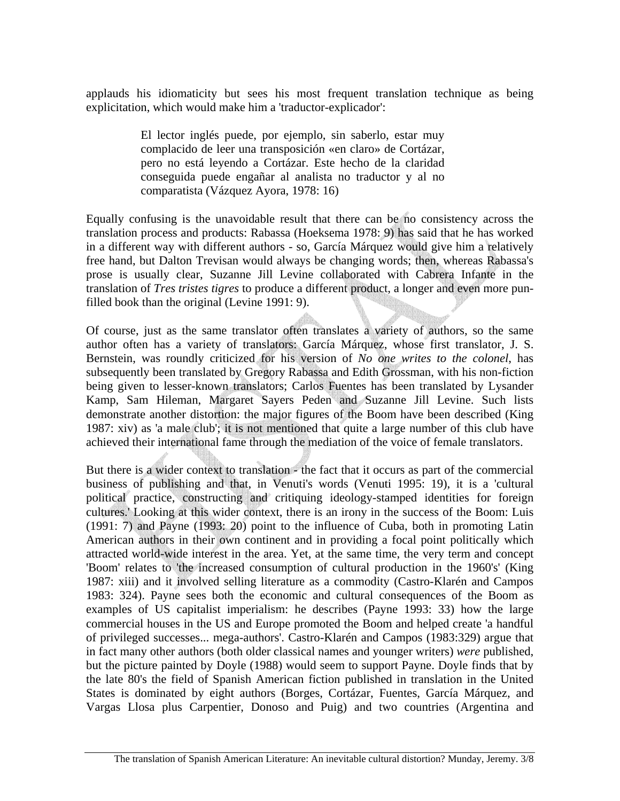applauds his idiomaticity but sees his most frequent translation technique as being explicitation, which would make him a 'traductor-explicador':

> El lector inglés puede, por ejemplo, sin saberlo, estar muy complacido de leer una transposición «en claro» de Cortázar, pero no está leyendo a Cortázar. Este hecho de la claridad conseguida puede engañar al analista no traductor y al no comparatista (Vázquez Ayora, 1978: 16)

Equally confusing is the unavoidable result that there can be no consistency across the translation process and products: Rabassa (Hoeksema 1978: 9) has said that he has worked in a different way with different authors - so, García Márquez would give him a relatively free hand, but Dalton Trevisan would always be changing words; then, whereas Rabassa's prose is usually clear, Suzanne Jill Levine collaborated with Cabrera Infante in the translation of *Tres tristes tigres* to produce a different product, a longer and even more punfilled book than the original (Levine 1991: 9).

Of course, just as the same translator often translates a variety of authors, so the same author often has a variety of translators: García Márquez, whose first translator, J. S. Bernstein, was roundly criticized for his version of *No one writes to the colonel*, has subsequently been translated by Gregory Rabassa and Edith Grossman, with his non-fiction being given to lesser-known translators; Carlos Fuentes has been translated by Lysander Kamp, Sam Hileman, Margaret Sayers Peden and Suzanne Jill Levine. Such lists demonstrate another distortion: the major figures of the Boom have been described (King 1987: xiv) as 'a male club'; it is not mentioned that quite a large number of this club have achieved their international fame through the mediation of the voice of female translators.

But there is a wider context to translation - the fact that it occurs as part of the commercial business of publishing and that, in Venuti's words (Venuti 1995: 19), it is a 'cultural political practice, constructing and critiquing ideology-stamped identities for foreign cultures.' Looking at this wider context, there is an irony in the success of the Boom: Luis (1991: 7) and Payne (1993: 20) point to the influence of Cuba, both in promoting Latin American authors in their own continent and in providing a focal point politically which attracted world-wide interest in the area. Yet, at the same time, the very term and concept 'Boom' relates to 'the increased consumption of cultural production in the 1960's' (King 1987: xiii) and it involved selling literature as a commodity (Castro-Klarén and Campos 1983: 324). Payne sees both the economic and cultural consequences of the Boom as examples of US capitalist imperialism: he describes (Payne 1993: 33) how the large commercial houses in the US and Europe promoted the Boom and helped create 'a handful of privileged successes... mega-authors'. Castro-Klarén and Campos (1983:329) argue that in fact many other authors (both older classical names and younger writers) *were* published, but the picture painted by Doyle (1988) would seem to support Payne. Doyle finds that by the late 80's the field of Spanish American fiction published in translation in the United States is dominated by eight authors (Borges, Cortázar, Fuentes, García Márquez, and Vargas Llosa plus Carpentier, Donoso and Puig) and two countries (Argentina and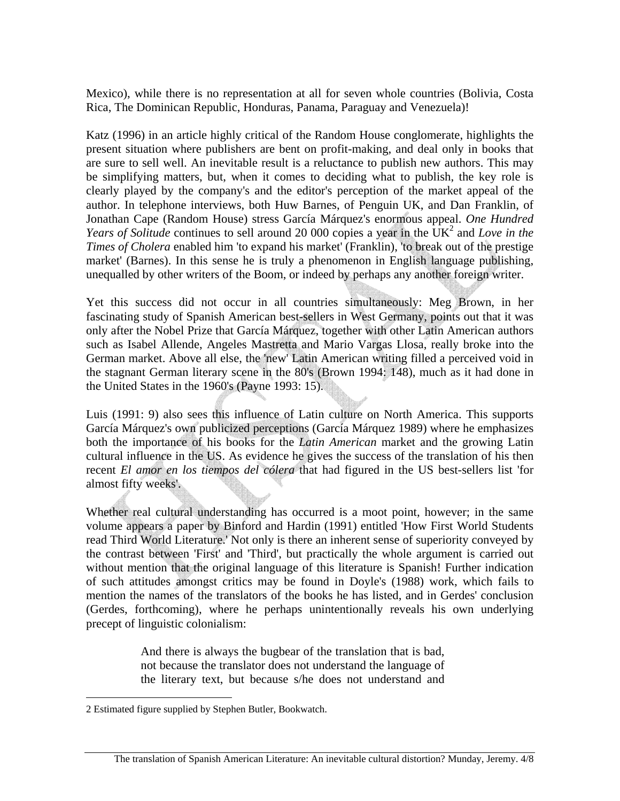Mexico), while there is no representation at all for seven whole countries (Bolivia, Costa Rica, The Dominican Republic, Honduras, Panama, Paraguay and Venezuela)!

Katz (1996) in an article highly critical of the Random House conglomerate, highlights the present situation where publishers are bent on profit-making, and deal only in books that are sure to sell well. An inevitable result is a reluctance to publish new authors. This may be simplifying matters, but, when it comes to deciding what to publish, the key role is clearly played by the company's and the editor's perception of the market appeal of the author. In telephone interviews, both Huw Barnes, of Penguin UK, and Dan Franklin, of Jonathan Cape (Random House) stress García Márquez's enormous appeal. *One Hundred Years of Solitude* continues to sell around 20 000 copies a year in the UK<sup>2</sup> and *Love in the Times of Cholera* enabled him 'to expand his market' (Franklin), 'to break out of the prestige market' (Barnes). In this sense he is truly a phenomenon in English language publishing, unequalled by other writers of the Boom, or indeed by perhaps any another foreign writer.

Yet this success did not occur in all countries simultaneously: Meg Brown, in her fascinating study of Spanish American best-sellers in West Germany, points out that it was only after the Nobel Prize that García Márquez, together with other Latin American authors such as Isabel Allende, Angeles Mastretta and Mario Vargas Llosa, really broke into the German market. Above all else, the 'new' Latin American writing filled a perceived void in the stagnant German literary scene in the 80's (Brown 1994: 148), much as it had done in the United States in the 1960's (Payne 1993: 15).

Luis (1991: 9) also sees this influence of Latin culture on North America. This supports García Márquez's own publicized perceptions (García Márquez 1989) where he emphasizes both the importance of his books for the *Latin American* market and the growing Latin cultural influence in the US. As evidence he gives the success of the translation of his then recent *El amor en los tiempos del cólera* that had figured in the US best-sellers list 'for almost fifty weeks'.

Whether real cultural understanding has occurred is a moot point, however; in the same volume appears a paper by Binford and Hardin (1991) entitled 'How First World Students read Third World Literature.' Not only is there an inherent sense of superiority conveyed by the contrast between 'First' and 'Third', but practically the whole argument is carried out without mention that the original language of this literature is Spanish! Further indication of such attitudes amongst critics may be found in Doyle's (1988) work, which fails to mention the names of the translators of the books he has listed, and in Gerdes' conclusion (Gerdes, forthcoming), where he perhaps unintentionally reveals his own underlying precept of linguistic colonialism:

> And there is always the bugbear of the translation that is bad, not because the translator does not understand the language of the literary text, but because s/he does not understand and

1

<sup>2</sup> Estimated figure supplied by Stephen Butler, Bookwatch.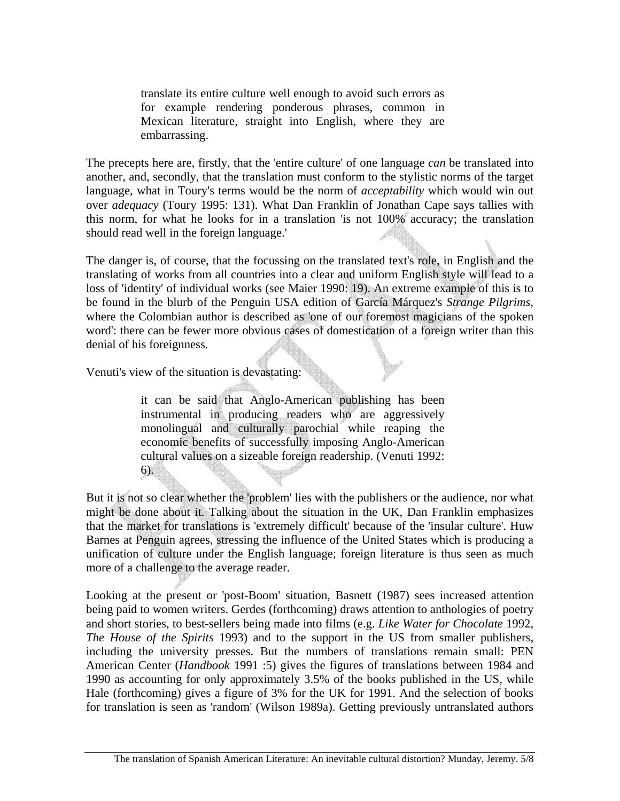translate its entire culture well enough to avoid such errors as for example rendering ponderous phrases, common in Mexican literature, straight into English, where they are embarrassing.

The precepts here are, firstly, that the 'entire culture' of one language *can* be translated into another, and, secondly, that the translation must conform to the stylistic norms of the target language, what in Toury's terms would be the norm of *acceptability* which would win out over *adequacy* (Toury 1995: 131). What Dan Franklin of Jonathan Cape says tallies with this norm, for what he looks for in a translation 'is not 100% accuracy; the translation should read well in the foreign language.'

The danger is, of course, that the focussing on the translated text's role, in English and the translating of works from all countries into a clear and uniform English style will lead to a loss of 'identity' of individual works (see Maier 1990: 19). An extreme example of this is to be found in the blurb of the Penguin USA edition of García Márquez's *Strange Pilgrims*, where the Colombian author is described as 'one of our foremost magicians of the spoken word': there can be fewer more obvious cases of domestication of a foreign writer than this denial of his foreignness.

Venuti's view of the situation is devastating:

it can be said that Anglo-American publishing has been instrumental in producing readers who are aggressively monolingual and culturally parochial while reaping the economic benefits of successfully imposing Anglo-American cultural values on a sizeable foreign readership. (Venuti 1992: 6).

But it is not so clear whether the 'problem' lies with the publishers or the audience, nor what might be done about it. Talking about the situation in the UK, Dan Franklin emphasizes that the market for translations is 'extremely difficult' because of the 'insular culture'. Huw Barnes at Penguin agrees, stressing the influence of the United States which is producing a unification of culture under the English language; foreign literature is thus seen as much more of a challenge to the average reader.

Looking at the present or 'post-Boom' situation, Basnett (1987) sees increased attention being paid to women writers. Gerdes (forthcoming) draws attention to anthologies of poetry and short stories, to best-sellers being made into films (e.g. *Like Water for Chocolate* 1992, *The House of the Spirits* 1993) and to the support in the US from smaller publishers, including the university presses. But the numbers of translations remain small: PEN American Center (*Handbook* 1991 :5) gives the figures of translations between 1984 and 1990 as accounting for only approximately 3.5% of the books published in the US, while Hale (forthcoming) gives a figure of 3% for the UK for 1991. And the selection of books for translation is seen as 'random' (Wilson 1989a). Getting previously untranslated authors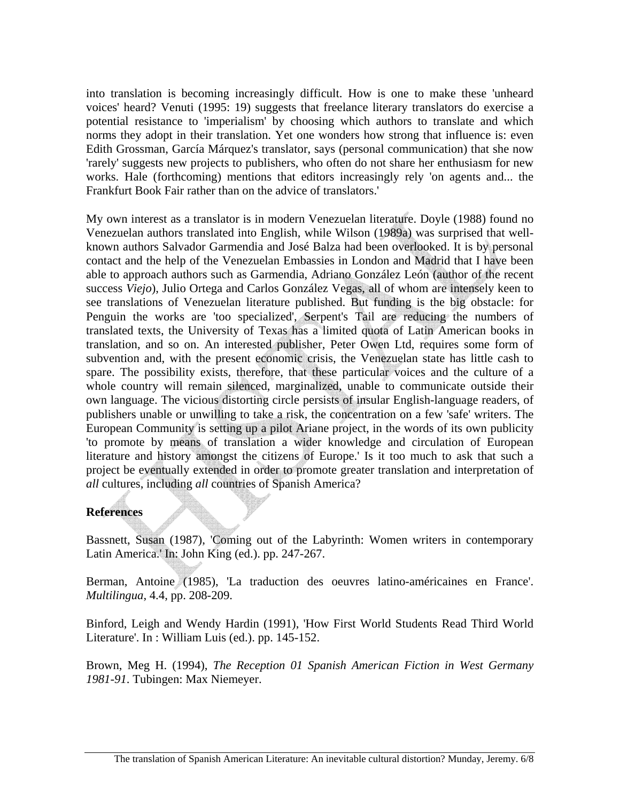into translation is becoming increasingly difficult. How is one to make these 'unheard voices' heard? Venuti (1995: 19) suggests that freelance literary translators do exercise a potential resistance to 'imperialism' by choosing which authors to translate and which norms they adopt in their translation. Yet one wonders how strong that influence is: even Edith Grossman, García Márquez's translator, says (personal communication) that she now 'rarely' suggests new projects to publishers, who often do not share her enthusiasm for new works. Hale (forthcoming) mentions that editors increasingly rely 'on agents and... the Frankfurt Book Fair rather than on the advice of translators.'

My own interest as a translator is in modern Venezuelan literature. Doyle (1988) found no Venezuelan authors translated into English, while Wilson (1989a) was surprised that wellknown authors Salvador Garmendia and José Balza had been overlooked. It is by personal contact and the help of the Venezuelan Embassies in London and Madrid that I have been able to approach authors such as Garmendia, Adriano González León (author of the recent success *Viejo*), Julio Ortega and Carlos González Vegas, all of whom are intensely keen to see translations of Venezuelan literature published. But funding is the big obstacle: for Penguin the works are 'too specialized', Serpent's Tail are reducing the numbers of translated texts, the University of Texas has a limited quota of Latin American books in translation, and so on. An interested publisher, Peter Owen Ltd, requires some form of subvention and, with the present economic crisis, the Venezuelan state has little cash to spare. The possibility exists, therefore, that these particular voices and the culture of a whole country will remain silenced, marginalized, unable to communicate outside their own language. The vicious distorting circle persists of insular English-language readers, of publishers unable or unwilling to take a risk, the concentration on a few 'safe' writers. The European Community is setting up a pilot Ariane project, in the words of its own publicity 'to promote by means of translation a wider knowledge and circulation of European literature and history amongst the citizens of Europe.' Is it too much to ask that such a project be eventually extended in order to promote greater translation and interpretation of *all* cultures, including *all* countries of Spanish America?

## **References**

Bassnett, Susan (1987), 'Coming out of the Labyrinth: Women writers in contemporary Latin America.' In: John King (ed.). pp. 247-267.

Berman, Antoine (1985), 'La traduction des oeuvres latino-américaines en France'. *Multilingua*, 4.4, pp. 208-209.

Binford, Leigh and Wendy Hardin (1991), 'How First World Students Read Third World Literature'. In : William Luis (ed.). pp. 145-152.

Brown, Meg H. (1994), *The Reception 01 Spanish American Fiction in West Germany 1981-91*. Tubingen: Max Niemeyer.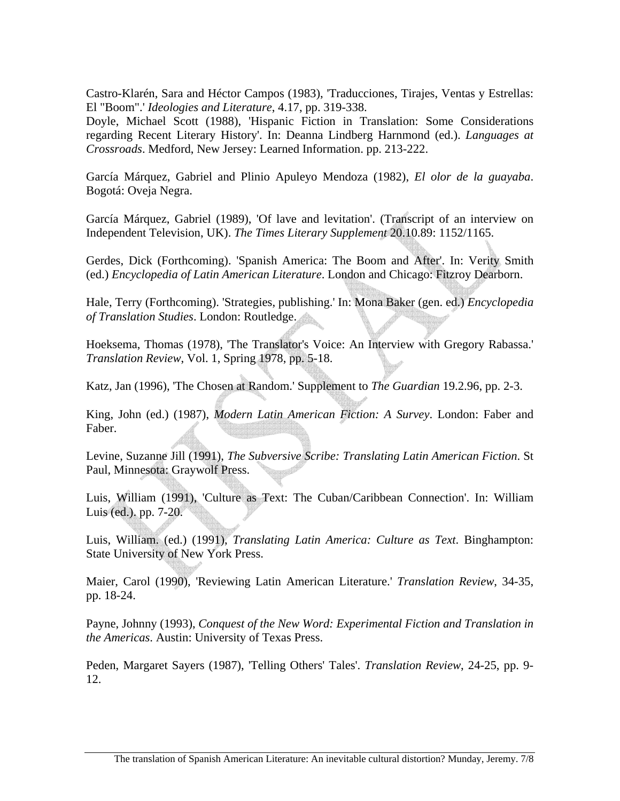Castro-Klarén, Sara and Héctor Campos (1983), 'Traducciones, Tirajes, Ventas y Estrellas: El "Boom".' *Ideologies and Literature*, 4.17, pp. 319-338.

Doyle, Michael Scott (1988), 'Hispanic Fiction in Translation: Some Considerations regarding Recent Literary History'. In: Deanna Lindberg Harnmond (ed.). *Languages at Crossroads*. Medford, New Jersey: Learned Information. pp. 213-222.

García Márquez, Gabriel and Plinio Apuleyo Mendoza (1982), *El olor de la guayaba*. Bogotá: Oveja Negra.

García Márquez, Gabriel (1989), 'Of lave and levitation'. (Transcript of an interview on Independent Television, UK). *The Times Literary Supplement* 20.10.89: 1152/1165.

Gerdes, Dick (Forthcoming). 'Spanish America: The Boom and After'. In: Verity Smith (ed.) *Encyclopedia of Latin American Literature*. London and Chicago: Fitzroy Dearborn.

Hale, Terry (Forthcoming). 'Strategies, publishing.' In: Mona Baker (gen. ed.) *Encyclopedia of Translation Studies*. London: Routledge.

Hoeksema, Thomas (1978), 'The Translator's Voice: An Interview with Gregory Rabassa.' *Translation Review*, Vol. 1, Spring 1978, pp. 5-18.

Katz, Jan (1996), 'The Chosen at Random.' Supplement to *The Guardian* 19.2.96, pp. 2-3.

King, John (ed.) (1987), *Modern Latin American Fiction: A Survey*. London: Faber and Faber.

Levine, Suzanne Jill (1991), *The Subversive Scribe: Translating Latin American Fiction*. St Paul, Minnesota: Graywolf Press.

Luis, William (1991), 'Culture as Text: The Cuban/Caribbean Connection'. In: William Luis (ed.). pp. 7-20.

Luis, William. (ed.) (1991), *Translating Latin America: Culture as Text*. Binghampton: State University of New York Press.

Maier, Carol (1990), 'Reviewing Latin American Literature.' *Translation Review*, 34-35, pp. 18-24.

Payne, Johnny (1993), *Conquest of the New Word: Experimental Fiction and Translation in the Americas*. Austin: University of Texas Press.

Peden, Margaret Sayers (1987), 'Telling Others' Tales'. *Translation Review*, 24-25, pp. 9- 12.